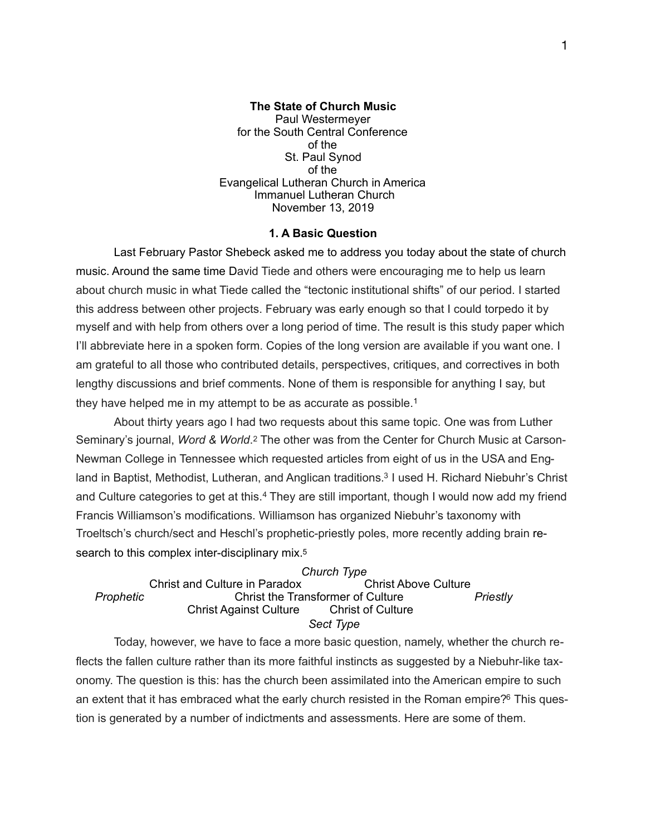**The State of Church Music**  Paul Westermeyer for the South Central Conference of the St. Paul Synod of the Evangelical Lutheran Church in America Immanuel Lutheran Church November 13, 2019

### <span id="page-0-2"></span><span id="page-0-0"></span>**1. A Basic Question**

Last February Pastor Shebeck asked me to address you today about the state of church music. Around the same time David Tiede and others were encouraging me to help us learn about church music in what Tiede called the "tectonic institutional shifts" of our period. I started this address between other projects. February was early enough so that I could torpedo it by myself and with help from others over a long period of time. The result is this study paper which I'll abbreviate here in a spoken form. Copies of the long version are available if you want one. I am grateful to all those who contributed details, perspectives, critiques, and correctives in both lengthy discussions and brief comments. None of them is responsible for anything I say, but they have helped me in my attempt to be as accurate as possible.[1](#page-13-0)

<span id="page-0-1"></span> About thirty years ago I had two requests about this same topic. One was from Luther Seminary's journal, *Word & World*.[2](#page-13-1) The other was from the Center for Church Music at Carson-Newman College in Tennessee which requested articles from eight of us in the USA and Eng-land in Baptist, Methodist, Lutheran, and Anglican traditions[.](#page-13-2)<sup>[3](#page-13-2)</sup> I used H. Richard Niebuhr's Christ andCulture categories to get at this.<sup>[4](#page-13-3)</sup> They are still important, though I would now add my friend Francis Williamson's modifications. Williamson has organized Niebuhr's taxonomy with Troeltsch's church/sect and Heschl's prophetic-priestly poles, more recently adding brain research to this complex inter-disciplinary mix.<sup>5</sup>

<span id="page-0-5"></span><span id="page-0-4"></span><span id="page-0-3"></span> *Church Type* Christ and Culture in Paradox Christ Above Culture *Prophetic* Christ the Transformer of Culture *Priestly*  **Christ Against Culture Christ of Culture** *Sect Type* 

 Today, however, we have to face a more basic question, namely, whether the church reflects the fallen culture rather than its more faithful instincts as suggested by a Niebuhr-like taxonomy. The question is this: has the church been assimilated into the American empire to such an extent that it has embraced what the early church resisted in the Roman empire? $6$  This question is generated by a number of indictments and assessments. Here are some of them.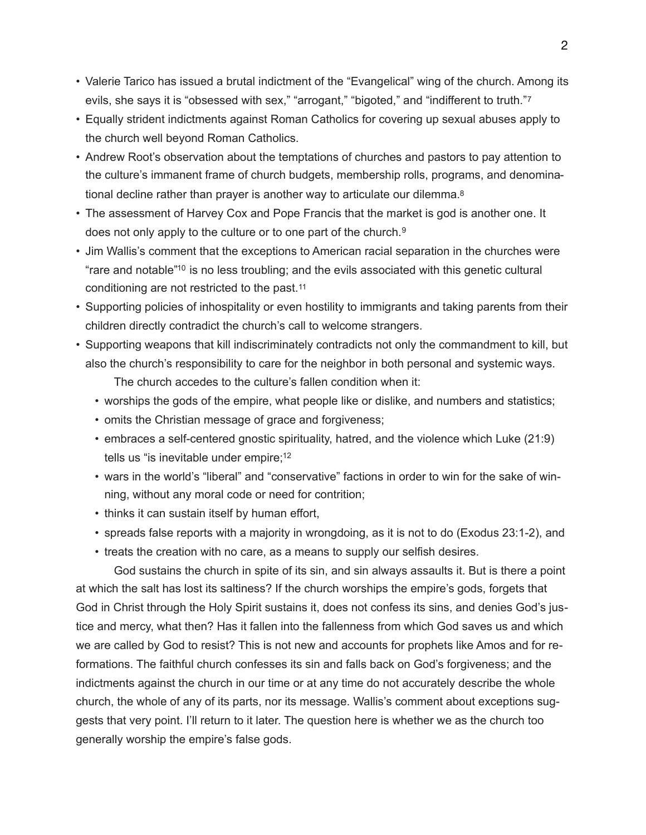- <span id="page-1-0"></span>• Valerie Tarico has issued a brutal indictment of the "Evangelical" wing of the church. Among its evils, she says it is "obsessed with sex," "arrogant," "bigoted," and "indifferent to truth."[7](#page-14-2)
- Equally strident indictments against Roman Catholics for covering up sexual abuses apply to the church well beyond Roman Catholics.
- Andrew Root's observation about the temptations of churches and pastors to pay attention to the culture's immanent frame of church budgets, membership rolls, programs, and denominational decline rather than prayer is another way to articulate our dilemma[.8](#page-14-3)
- <span id="page-1-1"></span>• The assessment of Harvey Cox and Pope Francis that the market is god is another one. It does not only apply to the culture or to one part of the church.[9](#page-14-4)
- <span id="page-1-3"></span><span id="page-1-2"></span>• Jim Wallis's comment that the exceptions to American racial separation in the churches were "rare and notable"<sup>[10](#page-14-5)</sup> is no less troubling; and the evils associated with this genetic cultural conditioning are not restricted to the past.[11](#page-14-6)
- <span id="page-1-4"></span>• Supporting policies of inhospitality or even hostility to immigrants and taking parents from their children directly contradict the church's call to welcome strangers.
- <span id="page-1-5"></span>• Supporting weapons that kill indiscriminately contradicts not only the commandment to kill, but also the church's responsibility to care for the neighbor in both personal and systemic ways. The church accedes to the culture's fallen condition when it:
	- worships the gods of the empire, what people like or dislike, and numbers and statistics;
	- omits the Christian message of grace and forgiveness;
	- embraces a self-centered gnostic spirituality, hatred, and the violence which Luke (21:9) tells us "is inevitable under empire[;](#page-14-7)<sup>[12](#page-14-7)</sup>
	- wars in the world's "liberal" and "conservative" factions in order to win for the sake of winning, without any moral code or need for contrition;
	- thinks it can sustain itself by human effort,
	- spreads false reports with a majority in wrongdoing, as it is not to do (Exodus 23:1-2), and
	- treats the creation with no care, as a means to supply our selfish desires.

 God sustains the church in spite of its sin, and sin always assaults it. But is there a point at which the salt has lost its saltiness? If the church worships the empire's gods, forgets that God in Christ through the Holy Spirit sustains it, does not confess its sins, and denies God's justice and mercy, what then? Has it fallen into the fallenness from which God saves us and which we are called by God to resist? This is not new and accounts for prophets like Amos and for reformations. The faithful church confesses its sin and falls back on God's forgiveness; and the indictments against the church in our time or at any time do not accurately describe the whole church, the whole of any of its parts, nor its message. Wallis's comment about exceptions suggests that very point. I'll return to it later. The question here is whether we as the church too generally worship the empire's false gods.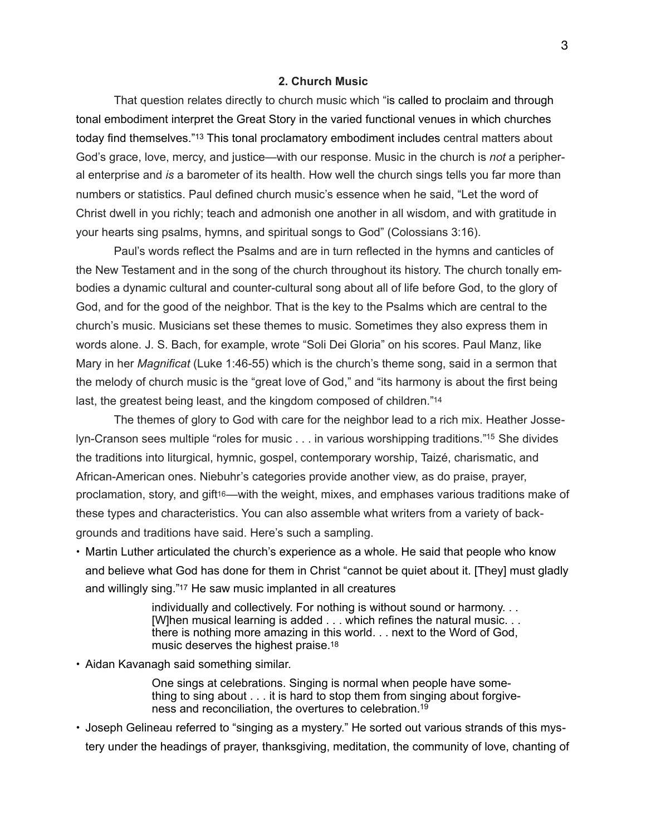# <span id="page-2-0"></span>**2. Church Music**

 That question relates directly to church music which "is called to proclaim and through tonal embodiment interpret the Great Story in the varied functional venues in which churches today find themselves.["](#page-14-8)<sup>[13](#page-14-8)</sup> This tonal proclamatory embodiment includes central matters about God's grace, love, mercy, and justice—with our response. Music in the church is *not* a peripheral enterprise and *is* a barometer of its health. How well the church sings tells you far more than numbers or statistics. Paul defined church music's essence when he said, "Let the word of Christ dwell in you richly; teach and admonish one another in all wisdom, and with gratitude in your hearts sing psalms, hymns, and spiritual songs to God" (Colossians 3:16).

 Paul's words reflect the Psalms and are in turn reflected in the hymns and canticles of the New Testament and in the song of the church throughout its history. The church tonally embodies a dynamic cultural and counter-cultural song about all of life before God, to the glory of God, and for the good of the neighbor. That is the key to the Psalms which are central to the church's music. Musicians set these themes to music. Sometimes they also express them in words alone. J. S. Bach, for example, wrote "Soli Dei Gloria" on his scores. Paul Manz, like Mary in her *Magnificat* (Luke 1:46-55) which is the church's theme song, said in a sermon that the melody of church music is the "great love of God," and "its harmony is about the first being last, the greatest being least, and the kingdom composed of children.["14](#page-14-9) 

 The themes of glory to God with care for the neighbor lead to a rich mix. Heather Josse-lyn-Cranson sees multiple "roles for music . . . in various worshipping traditions."<sup>[15](#page-14-10)</sup> She divides the traditions into liturgical, hymnic, gospel, contemporary worship, Taizé, charismatic, and African-American ones. Niebuhr's categories provide another view, as do praise, prayer, proclamation, story, and gift<sup>16</sup>—with the weight, mixes, and emphases various traditions make of these types and characteristics. You can also assemble what writers from a variety of backgrounds and traditions have said. Here's such a sampling.

• Martin Luther articulated the church's experience as a whole. He said that people who know and believe what God has done for them in Christ "cannot be quiet about it. [They] must gladly and willingly sing.["17](#page-15-1) He saw music implanted in all creatures

> <span id="page-2-5"></span><span id="page-2-4"></span><span id="page-2-3"></span><span id="page-2-2"></span><span id="page-2-1"></span> individually and collectively. For nothing is without sound or harmony. . . [W]hen musical learning is added . . . which refines the natural music. . . there is nothing more amazing in this world. . . next to the Word of God, music deserves the highest praise[.18](#page-15-2)

• Aidan Kavanagh said something similar.

<span id="page-2-6"></span> One sings at celebrations. Singing is normal when people have some thing to sing about . . . it is hard to stop them from singing about forgive ness and reconciliation, the overtures to celebration[.19](#page-15-3)

• Joseph Gelineau referred to "singing as a mystery." He sorted out various strands of this mystery under the headings of prayer, thanksgiving, meditation, the community of love, chanting of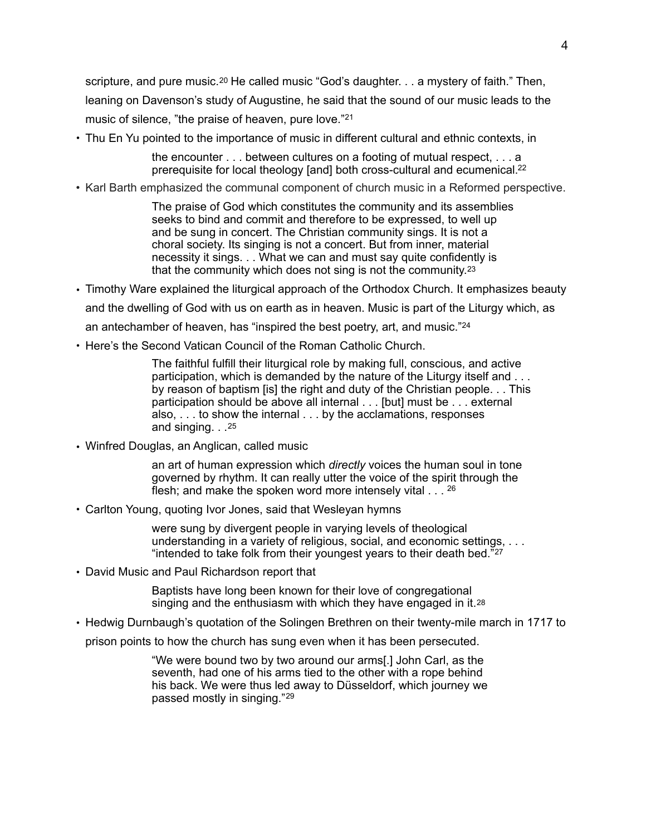scripture, and pure music.<sup>20</sup> He called music "God's daughter. . . a mystery of faith." Then, leaning on Davenson's study of Augustine, he said that the sound of our music leads to the music of silence, "the praise of heaven, pure love."21

• Thu En Yu pointed to the importance of music in different cultural and ethnic contexts, in

<span id="page-3-2"></span><span id="page-3-1"></span><span id="page-3-0"></span> the encounter . . . between cultures on a footing of mutual respect, . . . a prerequisite for local theology [and] both cross-cultural and ecumenical[.22](#page-15-6)

• Karl Barth emphasized the communal component of church music in a Reformed perspective.

<span id="page-3-3"></span> The praise of God which constitutes the community and its assemblies seeks to bind and commit and therefore to be expressed, to well up and be sung in concert. The Christian community sings. It is not a choral society. Its singing is not a concert. But from inner, material necessity it sings. . . What we can and must say quite confidently is that the community which does not sing is not the community.[23](#page-15-7) 

- Timothy Ware explained the liturgical approach of the Orthodox Church. It emphasizes beauty and the dwelling of God with us on earth as in heaven. Music is part of the Liturgy which, as an antechamber of heaven, has "inspired the best poetry, art, and music."[24](#page-15-8)
- Here's the Second Vatican Council of the Roman Catholic Church.

<span id="page-3-4"></span> The faithful fulfill their liturgical role by making full, conscious, and active participation, which is demanded by the nature of the Liturgy itself and . . . by reason of baptism [is] the right and duty of the Christian people. . . This participation should be above all internal . . . [but] must be . . . external also, . . . to show the internal . . . by the acclamations, responses and singing. . .[25](#page-15-9) 

• Winfred Douglas, an Anglican, called music

<span id="page-3-6"></span><span id="page-3-5"></span> an art of human expression which *directly* voices the human soul in tone governed by rhythm. It can really utter the voice of the spirit through the flesh; and make the spoken word more intensely vital . . . [26](#page-15-10)

• Carlton Young, quoting Ivor Jones, said that Wesleyan hymns

<span id="page-3-7"></span> were sung by divergent people in varying levels of theological understanding in a variety of religious, social, and economic settings, . . . "intended to take folk from their youngest years to their death bed. $27$ 

• David Music and Paul Richardson report that

<span id="page-3-8"></span> Baptists have long been known for their love of congregational singing and the enthusiasm with which they have engaged in it.<sup>[28](#page-15-12)</sup>

• Hedwig Durnbaugh's quotation of the Solingen Brethren on their twenty-mile march in 1717 to

prison points to how the church has sung even when it has been persecuted.

<span id="page-3-9"></span> "We were bound two by two around our arms[.] John Carl, as the seventh, had one of his arms tied to the other with a rope behind his back. We were thus led away to Düsseldorf, which journey we passed mostly in singing." [29](#page-15-13)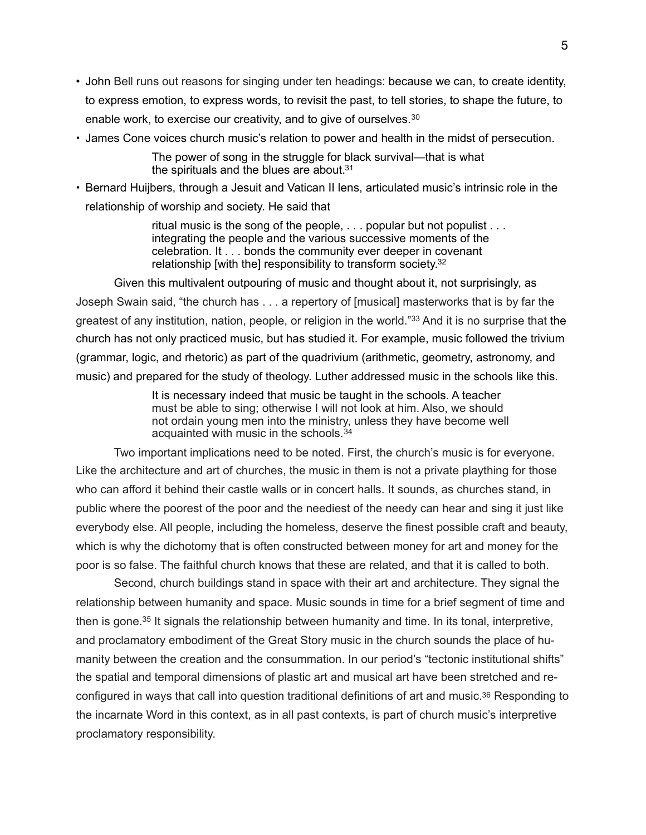- John Bell runs out reasons for singing under ten headings: because we can, to create identity, to express emotion, to express words, to revisit the past, to tell stories, to shape the future, to enable work, to exercise our creativity, and to give of ourselves.[30](#page-15-14)
- James Cone voices church music's relation to power and health in the midst of persecution.

<span id="page-4-1"></span><span id="page-4-0"></span> The power of song in the struggle for black survival—that is what the spirituals and the blues are about[.31](#page-15-15)

• Bernard Huijbers, through a Jesuit and Vatican II lens, articulated music's intrinsic role in the relationship of worship and society. He said that

> <span id="page-4-2"></span> ritual music is the song of the people, . . . popular but not populist . . . integrating the people and the various successive moments of the celebration. It . . . bonds the community ever deeper in covenant relationship [with the] responsibility to transform society[.](#page-15-16) [32](#page-15-16)

 Given this multivalent outpouring of music and thought about it, not surprisingly, as Joseph Swain said, "the church has . . . a repertory of [musical] masterworks that is by far the greatest of any institution, nation, people, or religion in the world."<sup>[33](#page-15-17)</sup> And it is no surprise that the church has not only practiced music, but has studied it. For example, music followed the trivium (grammar, logic, and rhetoric) as part of the quadrivium (arithmetic, geometry, astronomy, and music) and prepared for the study of theology. Luther addressed music in the schools like this.

> <span id="page-4-4"></span><span id="page-4-3"></span> It is necessary indeed that music be taught in the schools. A teacher must be able to sing; otherwise I will not look at him. Also, we should not ordain young men into the ministry, unless they have become well acquainted with music in the schools. [34](#page-15-18)

 Two important implications need to be noted. First, the church's music is for everyone. Like the architecture and art of churches, the music in them is not a private plaything for those who can afford it behind their castle walls or in concert halls. It sounds, as churches stand, in public where the poorest of the poor and the neediest of the needy can hear and sing it just like everybody else. All people, including the homeless, deserve the finest possible craft and beauty, which is why the dichotomy that is often constructed between money for art and money for the poor is so false. The faithful church knows that these are related, and that it is called to both.

<span id="page-4-6"></span><span id="page-4-5"></span> Second, church buildings stand in space with their art and architecture. They signal the relationship between humanity and space. Music sounds in time for a brief segment of time and then is gone.<sup>[35](#page-15-19)</sup> It signals the relationship between humanity and time. In its tonal, interpretive, and proclamatory embodiment of the Great Story music in the church sounds the place of humanity between the creation and the consummation. In our period's "tectonic institutional shifts" the spatial and temporal dimensions of plastic art and musical art have been stretched and reconfigured in ways that call into question traditional definitions of art and music[.36](#page-16-0) Responding to the incarnate Word in this context, as in all past contexts, is part of church music's interpretive proclamatory responsibility.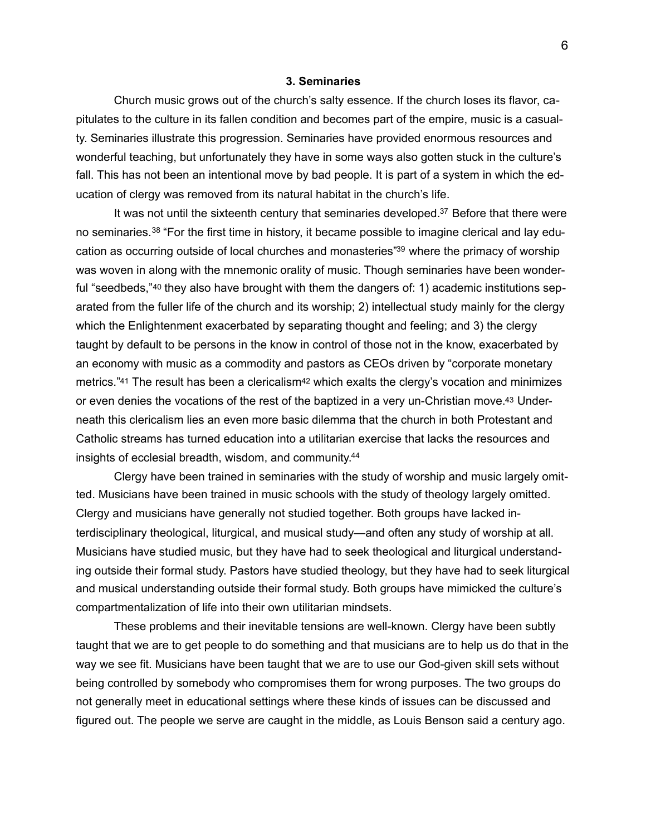## <span id="page-5-6"></span><span id="page-5-2"></span><span id="page-5-0"></span>**3. Seminaries**

 Church music grows out of the church's salty essence. If the church loses its flavor, capitulates to the culture in its fallen condition and becomes part of the empire, music is a casualty. Seminaries illustrate this progression. Seminaries have provided enormous resources and wonderful teaching, but unfortunately they have in some ways also gotten stuck in the culture's fall. This has not been an intentional move by bad people. It is part of a system in which the education of clergy was removed from its natural habitat in the church's life.

<span id="page-5-3"></span><span id="page-5-1"></span>It was not until the sixteenth century that seminaries developed. $37$  Before that there were no seminaries.<sup>38</sup> "For the first time in history, it became possible to imagine clerical and lay edu-cation as occurring outside of local churches and monasteries"<sup>[39](#page-16-3)</sup> where the primacy of worship was woven in along with the mnemonic orality of music. Though seminaries have been wonderful "seedbeds,"[40](#page-16-4) they also have brought with them the dangers of: 1) academic institutions separated from the fuller life of the church and its worship; 2) intellectual study mainly for the clergy which the Enlightenment exacerbated by separating thought and feeling; and 3) the clergy taught by default to be persons in the know in control of those not in the know, exacerbated by an economy with music as a commodity and pastors as CEOs driven by "corporate monetary metrics.["41](#page-16-5) The result has been a clericalism<sup>[42](#page-16-6)</sup> which exalts the clergy's vocation and minimizes or even denies the vocations of the rest of the baptized in a very un-Christian move[.43](#page-16-7) Underneath this clericalism lies an even more basic dilemma that the church in both Protestant and Catholic streams has turned education into a utilitarian exercise that lacks the resources and insights of ecclesial breadth, wisdom, and community[. 44](#page-16-8)

<span id="page-5-7"></span><span id="page-5-5"></span><span id="page-5-4"></span> Clergy have been trained in seminaries with the study of worship and music largely omitted. Musicians have been trained in music schools with the study of theology largely omitted. Clergy and musicians have generally not studied together. Both groups have lacked interdisciplinary theological, liturgical, and musical study—and often any study of worship at all. Musicians have studied music, but they have had to seek theological and liturgical understanding outside their formal study. Pastors have studied theology, but they have had to seek liturgical and musical understanding outside their formal study. Both groups have mimicked the culture's compartmentalization of life into their own utilitarian mindsets.

 These problems and their inevitable tensions are well-known. Clergy have been subtly taught that we are to get people to do something and that musicians are to help us do that in the way we see fit. Musicians have been taught that we are to use our God-given skill sets without being controlled by somebody who compromises them for wrong purposes. The two groups do not generally meet in educational settings where these kinds of issues can be discussed and figured out. The people we serve are caught in the middle, as Louis Benson said a century ago.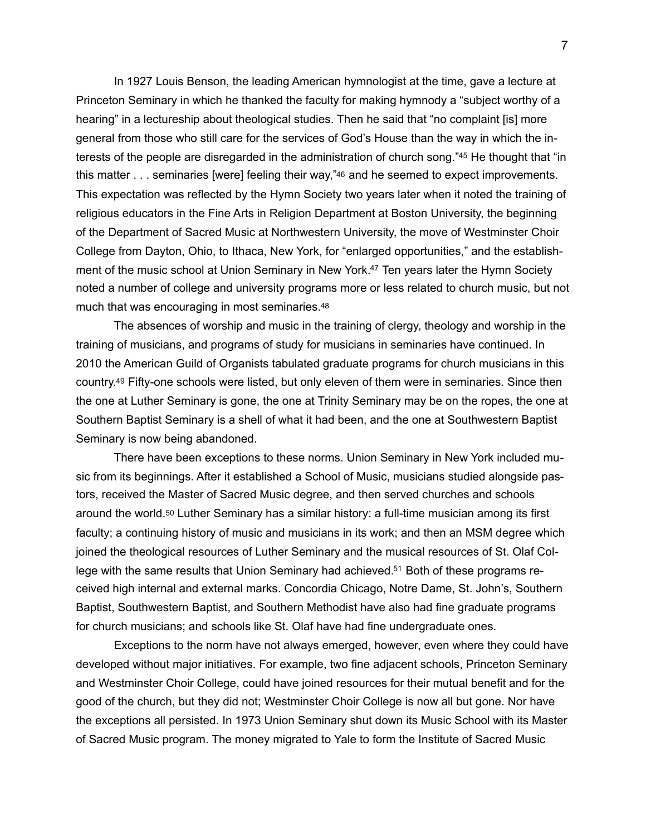<span id="page-6-1"></span><span id="page-6-0"></span> In 1927 Louis Benson, the leading American hymnologist at the time, gave a lecture at Princeton Seminary in which he thanked the faculty for making hymnody a "subject worthy of a hearing" in a lectureship about theological studies. Then he said that "no complaint [is] more general from those who still care for the services of God's House than the way in which the in-terests of the people are disregarded in the administration of church song.["](#page-16-9)[45](#page-16-9) He thought that "in this matter . . . seminaries [were] feeling their way,["46](#page-16-10) and he seemed to expect improvements. This expectation was reflected by the Hymn Society two years later when it noted the training of religious educators in the Fine Arts in Religion Department at Boston University, the beginning of the Department of Sacred Music at Northwestern University, the move of Westminster Choir College from Dayton, Ohio, to Ithaca, New York, for "enlarged opportunities," and the establish-ment of the music school at Union Seminary in New York.<sup>[47](#page-16-11)</sup> Ten years later the Hymn Society noted a number of college and university programs more or less related to church music, but not much that was encouraging in most seminaries[.48](#page-16-12)

<span id="page-6-4"></span><span id="page-6-3"></span><span id="page-6-2"></span> The absences of worship and music in the training of clergy, theology and worship in the training of musicians, and programs of study for musicians in seminaries have continued. In 2010 the American Guild of Organists tabulated graduate programs for church musicians in this country[.49](#page-16-13) Fifty-one schools were listed, but only eleven of them were in seminaries. Since then the one at Luther Seminary is gone, the one at Trinity Seminary may be on the ropes, the one at Southern Baptist Seminary is a shell of what it had been, and the one at Southwestern Baptist Seminary is now being abandoned.

<span id="page-6-5"></span> There have been exceptions to these norms. Union Seminary in New York included music from its beginnings. After it established a School of Music, musicians studied alongside pastors, received the Master of Sacred Music degree, and then served churches and schools around the world[.50](#page-16-14) Luther Seminary has a similar history: a full-time musician among its first faculty; a continuing history of music and musicians in its work; and then an MSM degree which joined the theological resources of Luther Seminary and the musical resources of St. Olaf College with the same results that Union Seminary had achieved[.51](#page-16-15) Both of these programs received high internal and external marks. Concordia Chicago, Notre Dame, St. John's, Southern Baptist, Southwestern Baptist, and Southern Methodist have also had fine graduate programs for church musicians; and schools like St. Olaf have had fine undergraduate ones.

<span id="page-6-6"></span> Exceptions to the norm have not always emerged, however, even where they could have developed without major initiatives. For example, two fine adjacent schools, Princeton Seminary and Westminster Choir College, could have joined resources for their mutual benefit and for the good of the church, but they did not; Westminster Choir College is now all but gone. Nor have the exceptions all persisted. In 1973 Union Seminary shut down its Music School with its Master of Sacred Music program. The money migrated to Yale to form the Institute of Sacred Music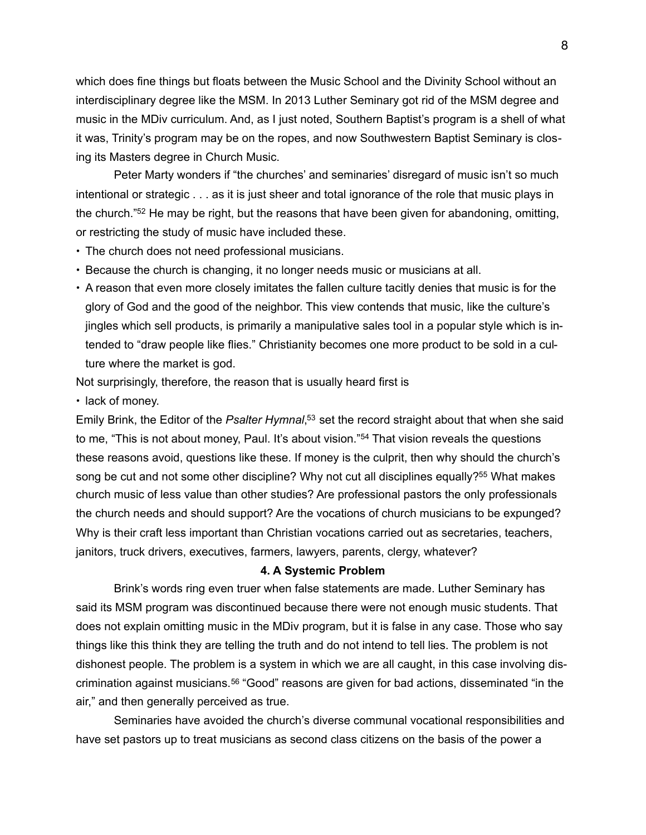which does fine things but floats between the Music School and the Divinity School without an interdisciplinary degree like the MSM. In 2013 Luther Seminary got rid of the MSM degree and music in the MDiv curriculum. And, as I just noted, Southern Baptist's program is a shell of what it was, Trinity's program may be on the ropes, and now Southwestern Baptist Seminary is closing its Masters degree in Church Music.

 Peter Marty wonders if "the churches' and seminaries' disregard of music isn't so much intentional or strategic . . . as it is just sheer and total ignorance of the role that music plays in the church. $32$  He may be right, but the reasons that have been given for abandoning, omitting, or restricting the study of music have included these.

- <span id="page-7-0"></span>• The church does not need professional musicians.
- Because the church is changing, it no longer needs music or musicians at all.
- A reason that even more closely imitates the fallen culture tacitly denies that music is for the glory of God and the good of the neighbor. This view contends that music, like the culture's jingles which sell products, is primarily a manipulative sales tool in a popular style which is intended to "draw people like flies." Christianity becomes one more product to be sold in a culture where the market is god.

Not surprisingly, therefore, the reason that is usually heard first is

• lack of money.

Emily Brink[,](#page-16-17) the Editor of the *Psalter Hymnal*,<sup>[53](#page-16-17)</sup> set the record straight about that when she said tome, "This is not about money, Paul. It's about vision."<sup>[54](#page-17-0)</sup> That vision reveals the questions these reasons avoid, questions like these. If money is the culprit, then why should the church's song be cut and not some other discipline[?](#page-17-1) Why not cut all disciplines equally?<sup>[55](#page-17-1)</sup> What makes church music of less value than other studies? Are professional pastors the only professionals the church needs and should support? Are the vocations of church musicians to be expunged? Why is their craft less important than Christian vocations carried out as secretaries, teachers, janitors, truck drivers, executives, farmers, lawyers, parents, clergy, whatever?

### <span id="page-7-4"></span><span id="page-7-3"></span><span id="page-7-2"></span><span id="page-7-1"></span>**4. A Systemic Problem**

 Brink's words ring even truer when false statements are made. Luther Seminary has said its MSM program was discontinued because there were not enough music students. That does not explain omitting music in the MDiv program, but it is false in any case. Those who say things like this think they are telling the truth and do not intend to tell lies. The problem is not dishonest people. The problem is a system in which we are all caught, in this case involving dis-criminationagainst musicians.<sup>[56](#page-17-2)</sup> "Good" reasons are given for bad actions, disseminated "in the air," and then generally perceived as true.

 Seminaries have avoided the church's diverse communal vocational responsibilities and have set pastors up to treat musicians as second class citizens on the basis of the power a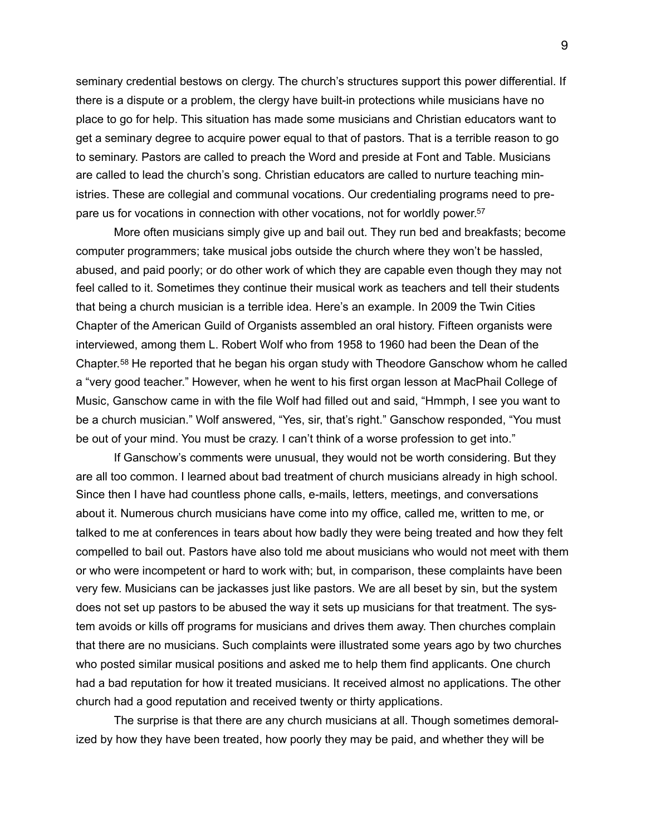seminary credential bestows on clergy. The church's structures support this power differential. If there is a dispute or a problem, the clergy have built-in protections while musicians have no place to go for help. This situation has made some musicians and Christian educators want to get a seminary degree to acquire power equal to that of pastors. That is a terrible reason to go to seminary. Pastors are called to preach the Word and preside at Font and Table. Musicians are called to lead the church's song. Christian educators are called to nurture teaching ministries. These are collegial and communal vocations. Our credentialing programs need to pre-pare us for vocations in connection with other vocations, not for worldly power[.](#page-17-3)<sup>[57](#page-17-3)</sup>

<span id="page-8-0"></span> More often musicians simply give up and bail out. They run bed and breakfasts; become computer programmers; take musical jobs outside the church where they won't be hassled, abused, and paid poorly; or do other work of which they are capable even though they may not feel called to it. Sometimes they continue their musical work as teachers and tell their students that being a church musician is a terrible idea. Here's an example. In 2009 the Twin Cities Chapter of the American Guild of Organists assembled an oral history. Fifteen organists were interviewed, among them L. Robert Wolf who from 1958 to 1960 had been the Dean of the Chapter.<sup>58</sup>He reported that he began his organ study with Theodore Ganschow whom he called a "very good teacher." However, when he went to his first organ lesson at MacPhail College of Music, Ganschow came in with the file Wolf had filled out and said, "Hmmph, I see you want to be a church musician." Wolf answered, "Yes, sir, that's right." Ganschow responded, "You must be out of your mind. You must be crazy. I can't think of a worse profession to get into."

<span id="page-8-1"></span> If Ganschow's comments were unusual, they would not be worth considering. But they are all too common. I learned about bad treatment of church musicians already in high school. Since then I have had countless phone calls, e-mails, letters, meetings, and conversations about it. Numerous church musicians have come into my office, called me, written to me, or talked to me at conferences in tears about how badly they were being treated and how they felt compelled to bail out. Pastors have also told me about musicians who would not meet with them or who were incompetent or hard to work with; but, in comparison, these complaints have been very few. Musicians can be jackasses just like pastors. We are all beset by sin, but the system does not set up pastors to be abused the way it sets up musicians for that treatment. The system avoids or kills off programs for musicians and drives them away. Then churches complain that there are no musicians. Such complaints were illustrated some years ago by two churches who posted similar musical positions and asked me to help them find applicants. One church had a bad reputation for how it treated musicians. It received almost no applications. The other church had a good reputation and received twenty or thirty applications.

 The surprise is that there are any church musicians at all. Though sometimes demoralized by how they have been treated, how poorly they may be paid, and whether they will be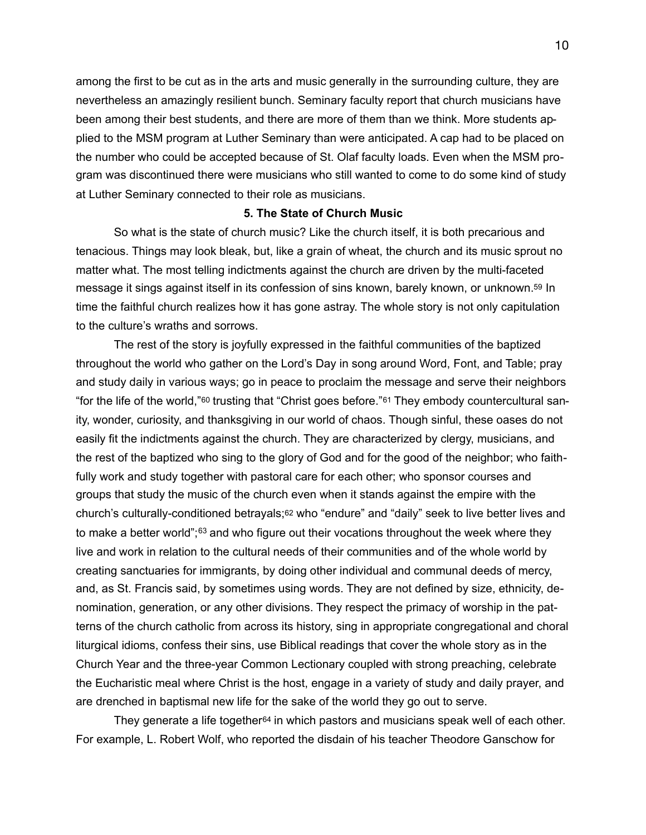among the first to be cut as in the arts and music generally in the surrounding culture, they are nevertheless an amazingly resilient bunch. Seminary faculty report that church musicians have been among their best students, and there are more of them than we think. More students applied to the MSM program at Luther Seminary than were anticipated. A cap had to be placed on the number who could be accepted because of St. Olaf faculty loads. Even when the MSM program was discontinued there were musicians who still wanted to come to do some kind of study at Luther Seminary connected to their role as musicians.

## <span id="page-9-2"></span><span id="page-9-0"></span>**5. The State of Church Music**

 So what is the state of church music? Like the church itself, it is both precarious and tenacious. Things may look bleak, but, like a grain of wheat, the church and its music sprout no matter what. The most telling indictments against the church are driven by the multi-faceted message it sings against itself in its confession of sins known, barely known, or unknown[.59](#page-17-5) In time the faithful church realizes how it has gone astray. The whole story is not only capitulation to the culture's wraths and sorrows.

<span id="page-9-4"></span><span id="page-9-3"></span><span id="page-9-1"></span> The rest of the story is joyfully expressed in the faithful communities of the baptized throughout the world who gather on the Lord's Day in song around Word, Font, and Table; pray and study daily in various ways; go in peace to proclaim the message and serve their neighbors "for the life of the world,"[60](#page-17-6) trusting that "Christ goes before."[61](#page-17-7) They embody countercultural sanity, wonder, curiosity, and thanksgiving in our world of chaos. Though sinful, these oases do not easily fit the indictments against the church. They are characterized by clergy, musicians, and the rest of the baptized who sing to the glory of God and for the good of the neighbor; who faithfully work and study together with pastoral care for each other; who sponsor courses and groups that study the music of the church even when it stands against the empire with the church's culturally-conditioned betrayals;[62](#page-17-8) who "endure" and "daily" seek to live better lives and tomake a better world"; $63$  and who figure out their vocations throughout the week where they live and work in relation to the cultural needs of their communities and of the whole world by creating sanctuaries for immigrants, by doing other individual and communal deeds of mercy, and, as St. Francis said, by sometimes using words. They are not defined by size, ethnicity, denomination, generation, or any other divisions. They respect the primacy of worship in the patterns of the church catholic from across its history, sing in appropriate congregational and choral liturgical idioms, confess their sins, use Biblical readings that cover the whole story as in the Church Year and the three-year Common Lectionary coupled with strong preaching, celebrate the Eucharistic meal where Christ is the host, engage in a variety of study and daily prayer, and are drenched in baptismal new life for the sake of the world they go out to serve.

<span id="page-9-5"></span> They generate a life together[64](#page-17-10) in which pastors and musicians speak well of each other. For example, L. Robert Wolf, who reported the disdain of his teacher Theodore Ganschow for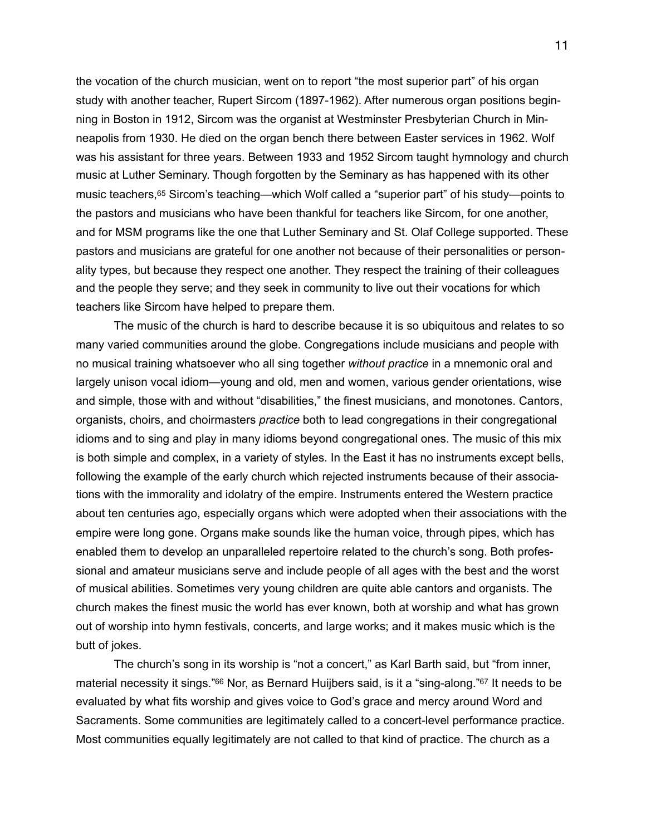<span id="page-10-0"></span>the vocation of the church musician, went on to report "the most superior part" of his organ study with another teacher, Rupert Sircom (1897-1962). After numerous organ positions beginning in Boston in 1912, Sircom was the organist at Westminster Presbyterian Church in Minneapolis from 1930. He died on the organ bench there between Easter services in 1962. Wolf was his assistant for three years. Between 1933 and 1952 Sircom taught hymnology and church music at Luther Seminary. Though forgotten by the Seminary as has happened with its other music teachers[,65](#page-18-0) Sircom's teaching—which Wolf called a "superior part" of his study—points to the pastors and musicians who have been thankful for teachers like Sircom, for one another, and for MSM programs like the one that Luther Seminary and St. Olaf College supported. These pastors and musicians are grateful for one another not because of their personalities or personality types, but because they respect one another. They respect the training of their colleagues and the people they serve; and they seek in community to live out their vocations for which teachers like Sircom have helped to prepare them.

 The music of the church is hard to describe because it is so ubiquitous and relates to so many varied communities around the globe. Congregations include musicians and people with no musical training whatsoever who all sing together *without practice* in a mnemonic oral and largely unison vocal idiom—young and old, men and women, various gender orientations, wise and simple, those with and without "disabilities," the finest musicians, and monotones. Cantors, organists, choirs, and choirmasters *practice* both to lead congregations in their congregational idioms and to sing and play in many idioms beyond congregational ones. The music of this mix is both simple and complex, in a variety of styles. In the East it has no instruments except bells, following the example of the early church which rejected instruments because of their associations with the immorality and idolatry of the empire. Instruments entered the Western practice about ten centuries ago, especially organs which were adopted when their associations with the empire were long gone. Organs make sounds like the human voice, through pipes, which has enabled them to develop an unparalleled repertoire related to the church's song. Both professional and amateur musicians serve and include people of all ages with the best and the worst of musical abilities. Sometimes very young children are quite able cantors and organists. The church makes the finest music the world has ever known, both at worship and what has grown out of worship into hymn festivals, concerts, and large works; and it makes music which is the butt of jokes.

<span id="page-10-2"></span><span id="page-10-1"></span> The church's song in its worship is "not a concert," as Karl Barth said, but "from inner, material necessity it sings.["](#page-18-1)<sup>[66](#page-18-1)</sup> Nor, as Bernard Huijbers said, is it a "sing-along."<sup>67</sup> It needs to be evaluated by what fits worship and gives voice to God's grace and mercy around Word and Sacraments. Some communities are legitimately called to a concert-level performance practice. Most communities equally legitimately are not called to that kind of practice. The church as a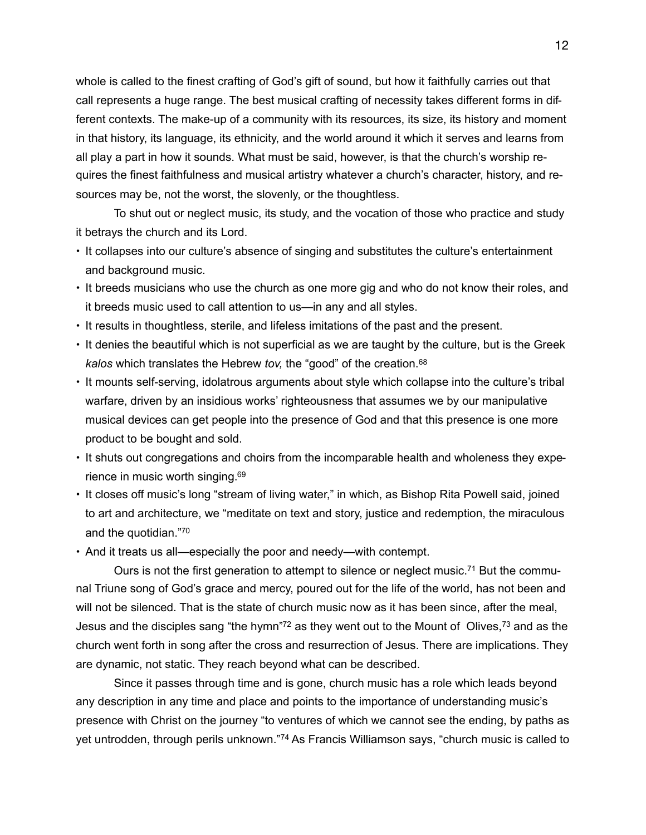whole is called to the finest crafting of God's gift of sound, but how it faithfully carries out that call represents a huge range. The best musical crafting of necessity takes different forms in different contexts. The make-up of a community with its resources, its size, its history and moment in that history, its language, its ethnicity, and the world around it which it serves and learns from all play a part in how it sounds. What must be said, however, is that the church's worship requires the finest faithfulness and musical artistry whatever a church's character, history, and resources may be, not the worst, the slovenly, or the thoughtless.

 To shut out or neglect music, its study, and the vocation of those who practice and study it betrays the church and its Lord.

- It collapses into our culture's absence of singing and substitutes the culture's entertainment and background music.
- It breeds musicians who use the church as one more gig and who do not know their roles, and it breeds music used to call attention to us—in any and all styles.
- It results in thoughtless, sterile, and lifeless imitations of the past and the present.
- <span id="page-11-0"></span>• It denies the beautiful which is not superficial as we are taught by the culture, but is the Greek *kalos* which translates the Hebrew *tov,* the "good" of the creation.[68](#page-18-3)
- It mounts self-serving, idolatrous arguments about style which collapse into the culture's tribal warfare, driven by an insidious works' righteousness that assumes we by our manipulative musical devices can get people into the presence of God and that this presence is one more product to be bought and sold.
- <span id="page-11-1"></span>• It shuts out congregations and choirs from the incomparable health and wholeness they experience in music worth singing[.](#page-18-4) [69](#page-18-4)
- It closes off music's long "stream of living water," in which, as Bishop Rita Powell said, joined to art and architecture, we "meditate on text and story, justice and redemption, the miraculous and the quotidian."<sup>[70](#page-18-5)</sup>
- <span id="page-11-3"></span><span id="page-11-2"></span>• And it treats us all—especially the poor and needy—with contempt.

<span id="page-11-5"></span><span id="page-11-4"></span>Ours is not the first generation to attempt to silence or neglect music.<sup>71</sup> But the communal Triune song of God's grace and mercy, poured out for the life of the world, has not been and will not be silenced. That is the state of church music now as it has been since, after the meal, Jesus and the disciples sang ["](#page-18-7)thehymn"<sup>[72](#page-18-7)</sup> as they went out to the Mount of Olives,  $73$  and as the church went forth in song after the cross and resurrection of Jesus. There are implications. They are dynamic, not static. They reach beyond what can be described.

<span id="page-11-6"></span> Since it passes through time and is gone, church music has a role which leads beyond any description in any time and place and points to the importance of understanding music's presence with Christ on the journey "to ventures of which we cannot see the ending, by paths as yetuntrodden, through perils unknown."<sup>[74](#page-18-9)</sup> As Francis Williamson says, "church music is called to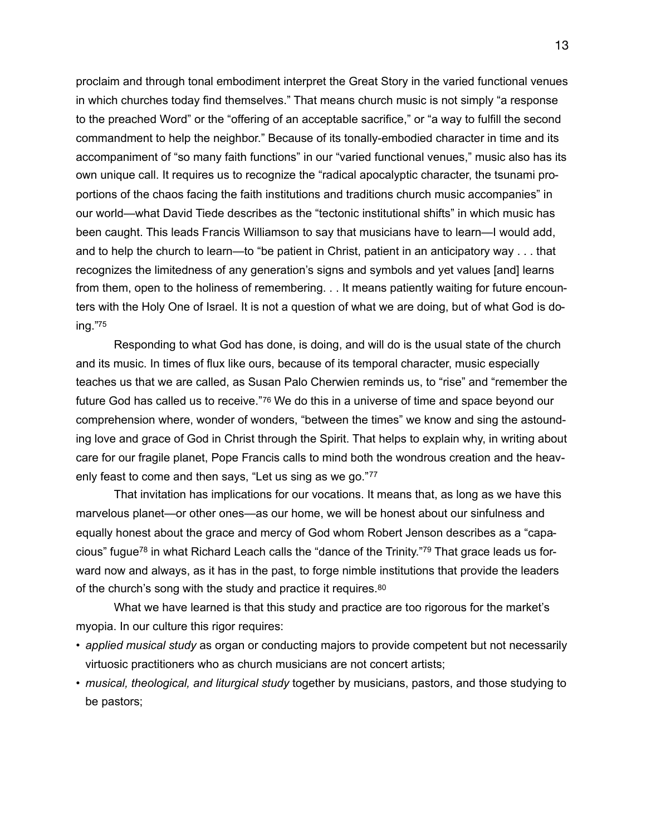proclaim and through tonal embodiment interpret the Great Story in the varied functional venues in which churches today find themselves." That means church music is not simply "a response to the preached Word" or the "offering of an acceptable sacrifice," or "a way to fulfill the second commandment to help the neighbor." Because of its tonally-embodied character in time and its accompaniment of "so many faith functions" in our "varied functional venues," music also has its own unique call. It requires us to recognize the "radical apocalyptic character, the tsunami proportions of the chaos facing the faith institutions and traditions church music accompanies" in our world—what David Tiede describes as the "tectonic institutional shifts" in which music has been caught. This leads Francis Williamson to say that musicians have to learn—I would add, and to help the church to learn—to "be patient in Christ, patient in an anticipatory way . . . that recognizes the limitedness of any generation's signs and symbols and yet values [and] learns from them, open to the holiness of remembering. . . It means patiently waiting for future encounters with the Holy One of Israel. It is not a question of what we are doing, but of what God is do-ing.[" 75](#page-19-0)

<span id="page-12-1"></span><span id="page-12-0"></span> Responding to what God has done, is doing, and will do is the usual state of the church and its music. In times of flux like ours, because of its temporal character, music especially teaches us that we are called, as Susan Palo Cherwien reminds us, to "rise" and "remember the future God has called us to receive."[76](#page-19-1) We do this in a universe of time and space beyond our comprehension where, wonder of wonders, "between the times" we know and sing the astounding love and grace of God in Christ through the Spirit. That helps to explain why, in writing about care for our fragile planet, Pope Francis calls to mind both the wondrous creation and the heavenly feast to come and then says, "Let us sing as we go."77

<span id="page-12-4"></span><span id="page-12-3"></span><span id="page-12-2"></span> That invitation has implications for our vocations. It means that, as long as we have this marvelous planet—or other ones—as our home, we will be honest about our sinfulness and equally honest about the grace and mercy of God whom Robert Jenson describes as a "capa-cious" fugue<sup>[78](#page-19-3)</sup> in what Richard Leach calls the "dance of the Trinity."<sup>79</sup> That grace leads us forward now and always, as it has in the past, to forge nimble institutions that provide the leaders of the church's song with the study and practice it requires.[80](#page-19-5)

<span id="page-12-5"></span> What we have learned is that this study and practice are too rigorous for the market's myopia. In our culture this rigor requires:

- *applied musical study* as organ or conducting majors to provide competent but not necessarily virtuosic practitioners who as church musicians are not concert artists;
- *musical, theological, and liturgical study* together by musicians, pastors, and those studying to be pastors;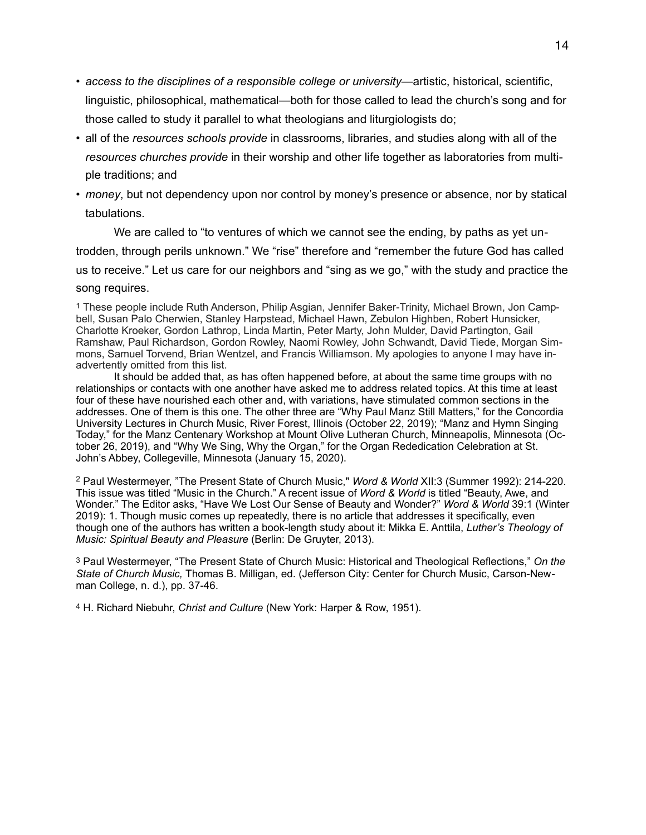- *access to the disciplines of a responsible college or university*—artistic, historical, scientific, linguistic, philosophical, mathematical—both for those called to lead the church's song and for those called to study it parallel to what theologians and liturgiologists do;
- all of the *resources schools provide* in classrooms, libraries, and studies along with all of the *resources churches provide* in their worship and other life together as laboratories from multiple traditions; and
- *money*, but not dependency upon nor control by money's presence or absence, nor by statical tabulations.

 We are called to "to ventures of which we cannot see the ending, by paths as yet untrodden, through perils unknown." We "rise" therefore and "remember the future God has called us to receive." Let us care for our neighbors and "sing as we go," with the study and practice the song requires.

<span id="page-13-0"></span>[1](#page-0-0) These people include Ruth Anderson, Philip Asgian, Jennifer Baker-Trinity, Michael Brown, Jon Campbell, Susan Palo Cherwien, Stanley Harpstead, Michael Hawn, Zebulon Highben, Robert Hunsicker, Charlotte Kroeker, Gordon Lathrop, Linda Martin, Peter Marty, John Mulder, David Partington, Gail Ramshaw, Paul Richardson, Gordon Rowley, Naomi Rowley, John Schwandt, David Tiede, Morgan Simmons, Samuel Torvend, Brian Wentzel, and Francis Williamson. My apologies to anyone I may have inadvertently omitted from this list.

 It should be added that, as has often happened before, at about the same time groups with no relationships or contacts with one another have asked me to address related topics. At this time at least four of these have nourished each other and, with variations, have stimulated common sections in the addresses. One of them is this one. The other three are "Why Paul Manz Still Matters," for the Concordia University Lectures in Church Music, River Forest, Illinois (October 22, 2019); "Manz and Hymn Singing Today," for the Manz Centenary Workshop at Mount Olive Lutheran Church, Minneapolis, Minnesota (October 26, 2019), and "Why We Sing, Why the Organ," for the Organ Rededication Celebration at St. John's Abbey, Collegeville, Minnesota (January 15, 2020).

<span id="page-13-1"></span><sup>[2](#page-0-1)</sup> Paul Westermeyer, "The Present State of Church Music," *Word & World XII:3 (Summer 1992): 214-220.* This issue was titled "Music in the Church." A recent issue of *Word & World* is titled "Beauty, Awe, and Wonder." The Editor asks, "Have We Lost Our Sense of Beauty and Wonder?" *Word & World* 39:1 (Winter 2019): 1. Though music comes up repeatedly, there is no article that addresses it specifically, even though one of the authors has written a book-length study about it: Mikka E. Anttila, *Luther's Theology of Music: Spiritual Beauty and Pleasure* (Berlin: De Gruyter, 2013).

<span id="page-13-2"></span>[3](#page-0-2) Paul Westermeyer, "The Present State of Church Music: Historical and Theological Reflections," *On the State of Church Music,* Thomas B. Milligan, ed. (Jefferson City: Center for Church Music, Carson-Newman College, n. d.), pp. 37-46.

<span id="page-13-3"></span>[4](#page-0-3) H. Richard Niebuhr, *Christ and Culture* (New York: Harper & Row, 1951).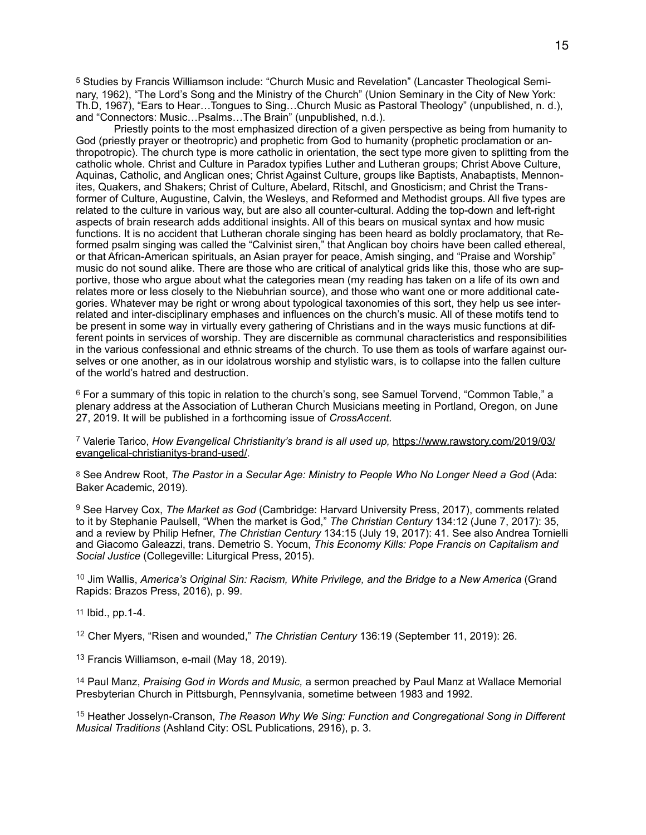<span id="page-14-0"></span>[5](#page-0-4) Studies by Francis Williamson include: "Church Music and Revelation" (Lancaster Theological Seminary, 1962), "The Lord's Song and the Ministry of the Church" (Union Seminary in the City of New York: Th.D, 1967), "Ears to Hear…Tongues to Sing…Church Music as Pastoral Theology" (unpublished, n. d.), and "Connectors: Music…Psalms…The Brain" (unpublished, n.d.).

 Priestly points to the most emphasized direction of a given perspective as being from humanity to God (priestly prayer or theotropric) and prophetic from God to humanity (prophetic proclamation or anthropotropic). The church type is more catholic in orientation, the sect type more given to splitting from the catholic whole. Christ and Culture in Paradox typifies Luther and Lutheran groups; Christ Above Culture, Aquinas, Catholic, and Anglican ones; Christ Against Culture, groups like Baptists, Anabaptists, Mennonites, Quakers, and Shakers; Christ of Culture, Abelard, Ritschl, and Gnosticism; and Christ the Transformer of Culture, Augustine, Calvin, the Wesleys, and Reformed and Methodist groups. All five types are related to the culture in various way, but are also all counter-cultural. Adding the top-down and left-right aspects of brain research adds additional insights. All of this bears on musical syntax and how music functions. It is no accident that Lutheran chorale singing has been heard as boldly proclamatory, that Reformed psalm singing was called the "Calvinist siren," that Anglican boy choirs have been called ethereal, or that African-American spirituals, an Asian prayer for peace, Amish singing, and "Praise and Worship" music do not sound alike. There are those who are critical of analytical grids like this, those who are supportive, those who argue about what the categories mean (my reading has taken on a life of its own and relates more or less closely to the Niebuhrian source), and those who want one or more additional categories. Whatever may be right or wrong about typological taxonomies of this sort, they help us see interrelated and inter-disciplinary emphases and influences on the church's music. All of these motifs tend to be present in some way in virtually every gathering of Christians and in the ways music functions at different points in services of worship. They are discernible as communal characteristics and responsibilities in the various confessional and ethnic streams of the church. To use them as tools of warfare against ourselves or one another, as in our idolatrous worship and stylistic wars, is to collapse into the fallen culture of the world's hatred and destruction.

<span id="page-14-1"></span> $6$  For a summary of this topic in relation to the church's song, see Samuel Torvend, "Common Table," a plenary address at the Association of Lutheran Church Musicians meeting in Portland, Oregon, on June 27, 2019. It will be published in a forthcoming issue of *CrossAccent.* 

<span id="page-14-2"></span><sup>[7](#page-1-0)</sup> Valerie Tarico, *How Evangelical Christianity's brand is all used up, [https://www.rawstory.com/2019/03/](https://www.rawstory.com/2019/03/evangelical-christianitys-brand-used/)* [evangelical-christianitys-brand-used/](https://www.rawstory.com/2019/03/evangelical-christianitys-brand-used/).

<span id="page-14-3"></span>[8](#page-1-1) See Andrew Root, *The Pastor in a Secular Age: Ministry to People Who No Longer Need a God* (Ada: Baker Academic, 2019).

<span id="page-14-4"></span><sup>[9](#page-1-2)</sup> See Harvey Cox, *The Market as God (Cambridge: Harvard University Press, 2017), comments related* to it by Stephanie Paulsell, "When the market is God," *The Christian Century* 134:12 (June 7, 2017): 35, and a review by Philip Hefner, *The Christian Century* 134:15 (July 19, 2017): 41. See also Andrea Tornielli and Giacomo Galeazzi, trans. Demetrio S. Yocum, *This Economy Kills: Pope Francis on Capitalism and Social Justice* (Collegeville: Liturgical Press, 2015).

<span id="page-14-5"></span><sup>[10](#page-1-3)</sup> Jim Wallis, *America's Original Sin: Racism, White Privilege, and the Bridge to a New America (Grand* Rapids: Brazos Press, 2016), p. 99.

<span id="page-14-6"></span>[11](#page-1-4) Ibid., pp.1-4.

<span id="page-14-7"></span><sup>[12](#page-1-5)</sup> Cher Myers, "Risen and wounded," The Christian Century 136:19 (September 11, 2019): 26.

<span id="page-14-8"></span><sup>[13](#page-2-0)</sup> Francis Williamson, e-mail (May 18, 2019).

<span id="page-14-9"></span>[14](#page-2-1) Paul Manz, *Praising God in Words and Music,* a sermon preached by Paul Manz at Wallace Memorial Presbyterian Church in Pittsburgh, Pennsylvania, sometime between 1983 and 1992.

<span id="page-14-10"></span><sup>[15](#page-2-2)</sup> Heather Josselyn-Cranson, *The Reason Why We Sing: Function and Congregational Song in Different Musical Traditions* (Ashland City: OSL Publications, 2916), p. 3.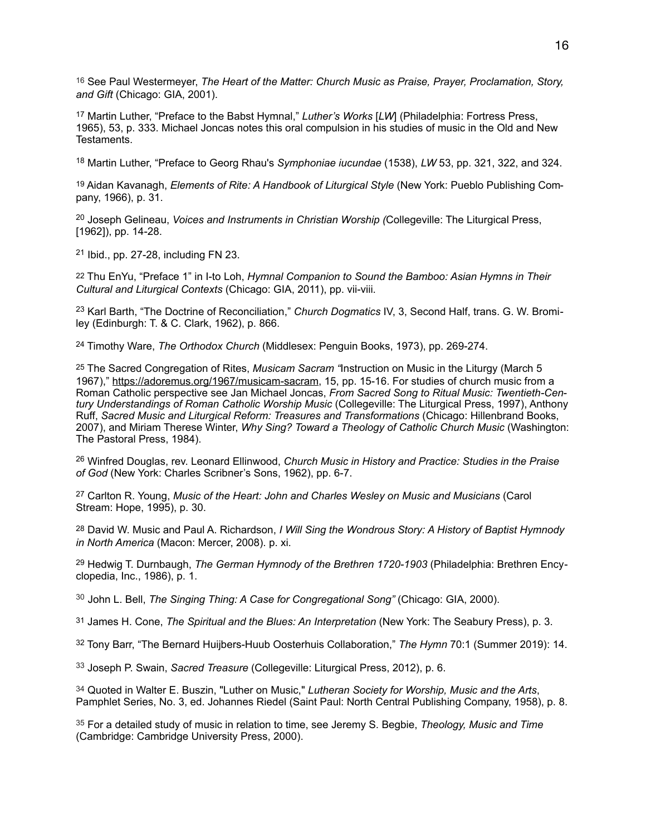<span id="page-15-0"></span>[16](#page-2-3) See Paul Westermeyer, *The Heart of the Matter: Church Music as Praise, Prayer, Proclamation, Story, and Gift* (Chicago: GIA, 2001).

<span id="page-15-1"></span><sup>[17](#page-2-4)</sup> Martin Luther, "Preface to the Babst Hymnal," *Luther's Works* [*LW*] (Philadelphia: Fortress Press, 1965), 53, p. 333. Michael Joncas notes this oral compulsion in his studies of music in the Old and New Testaments.

<span id="page-15-2"></span><sup>[18](#page-2-5)</sup> Martin Luther, "Preface to Georg Rhau's *Symphoniae iucundae* (1538), *LW* 53, pp. 321, 322, and 324.

<span id="page-15-3"></span>[19](#page-2-6) Aidan Kavanagh, *Elements of Rite: A Handbook of Liturgical Style* (New York: Pueblo Publishing Company, 1966), p. 31.

<span id="page-15-4"></span><sup>[20](#page-3-0)</sup> Joseph Gelineau, *Voices and Instruments in Christian Worship (Collegeville: The Liturgical Press,* [1962]), pp. 14-28.

<span id="page-15-5"></span> $21$  Ibid., pp. 27-28, including FN 23.

<span id="page-15-6"></span>[22](#page-3-2) Thu EnYu, "Preface 1" in I-to Loh, *Hymnal Companion to Sound the Bamboo: Asian Hymns in Their Cultural and Liturgical Contexts* (Chicago: GIA, 2011), pp. vii-viii.

<span id="page-15-7"></span><sup>[23](#page-3-3)</sup> Karl Barth, "The Doctrine of Reconciliation," *Church Dogmatics* IV, 3, Second Half, trans. G. W. Bromiley (Edinburgh: T. & C. Clark, 1962), p. 866.

<span id="page-15-8"></span><sup>[24](#page-3-4)</sup> Timothy Ware, *The Orthodox Church* (Middlesex: Penguin Books, 1973), pp. 269-274.

<span id="page-15-9"></span>[25](#page-3-5) The Sacred Congregation of Rites, *Musicam Sacram "*Instruction on Music in the Liturgy (March 5 1967),"<https://adoremus.org/1967/musicam-sacram>, 15, pp. 15-16. For studies of church music from a Roman Catholic perspective see Jan Michael Joncas, *From Sacred Song to Ritual Music: Twentieth-Century Understandings of Roman Catholic Worship Music* (Collegeville: The Liturgical Press, 1997), Anthony Ruff, *Sacred Music and Liturgical Reform: Treasures and Transformations* (Chicago: Hillenbrand Books, 2007), and Miriam Therese Winter, *Why Sing? Toward a Theology of Catholic Church Music* (Washington: The Pastoral Press, 1984).

<span id="page-15-10"></span> Winfred Douglas, rev. Leonard Ellinwood, *Church Music in History and Practice: Studies in the Praise* [26](#page-3-6) *of God* (New York: Charles Scribner's Sons, 1962), pp. 6-7.

<span id="page-15-11"></span><sup>[27](#page-3-7)</sup> Carlton R. Young, *Music of the Heart: John and Charles Wesley on Music and Musicians (Carol* Stream: Hope, 1995), p. 30.

<span id="page-15-12"></span>[28](#page-3-8) David W. Music and Paul A. Richardson, *I Will Sing the Wondrous Story: A History of Baptist Hymnody in North America* (Macon: Mercer, 2008). p. xi.

<span id="page-15-13"></span><sup>[29](#page-3-9)</sup> Hedwig T. Durnbaugh, *The German Hymnody of the Brethren 1720-1903* (Philadelphia: Brethren Encyclopedia, Inc., 1986), p. 1.

<span id="page-15-14"></span><sup>[30](#page-4-0)</sup> John L. Bell, *The Singing Thing: A Case for Congregational Song"* (Chicago: GIA, 2000).

<span id="page-15-15"></span>[31](#page-4-1) James H. Cone, *The Spiritual and the Blues: An Interpretation* (New York: The Seabury Press), p. 3.

<span id="page-15-16"></span><sup>[32](#page-4-2)</sup> Tony Barr, "The Bernard Huijbers-Huub Oosterhuis Collaboration," The Hymn 70:1 (Summer 2019): 14.

<span id="page-15-17"></span><sup>[33](#page-4-3)</sup> Joseph P. Swain, *Sacred Treasure* (Collegeville: Liturgical Press, 2012), p. 6.

<span id="page-15-18"></span>[34](#page-4-4) Quoted in Walter E. Buszin, "Luther on Music," *Lutheran Society for Worship, Music and the Arts*, Pamphlet Series, No. 3, ed. Johannes Riedel (Saint Paul: North Central Publishing Company, 1958), p. 8.

<span id="page-15-19"></span> For a detailed study of music in relation to time, see Jeremy S. Begbie, *Theology, Music and Time* [35](#page-4-5) (Cambridge: Cambridge University Press, 2000).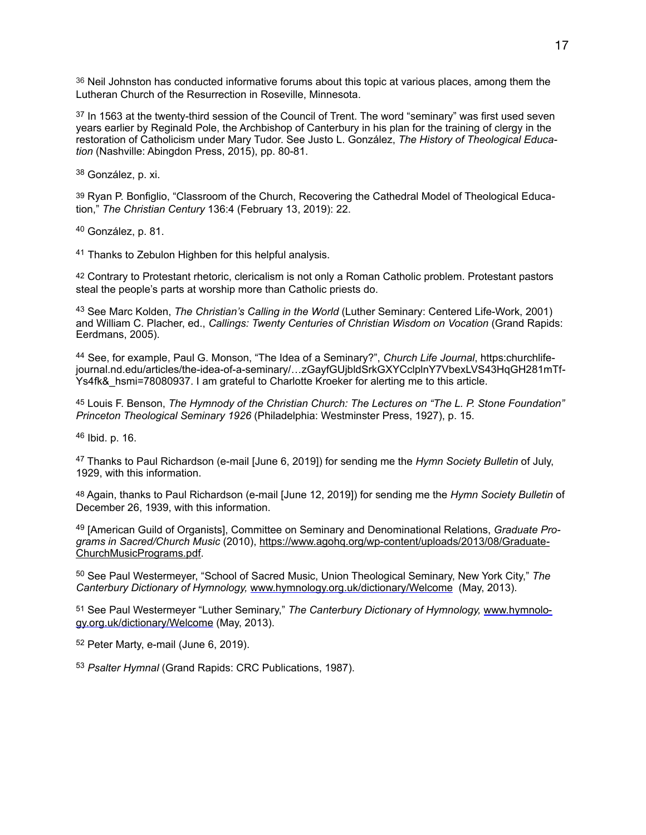<span id="page-16-0"></span>[36](#page-4-6) Neil Johnston has conducted informative forums about this topic at various places, among them the Lutheran Church of the Resurrection in Roseville, Minnesota.

<span id="page-16-1"></span> $37$  In 1563 at the twenty-third session of the Council of Trent. The word "seminary" was first used seven years earlier by Reginald Pole, the Archbishop of Canterbury in his plan for the training of clergy in the restoration of Catholicism under Mary Tudor. See Justo L. González, *The History of Theological Education* (Nashville: Abingdon Press, 2015), pp. 80-81.

<span id="page-16-2"></span>[38](#page-5-1) González, p. xi.

<span id="page-16-3"></span>[39](#page-5-2) Ryan P. Bonfiglio, "Classroom of the Church, Recovering the Cathedral Model of Theological Education," *The Christian Century* 136:4 (February 13, 2019): 22.

<span id="page-16-4"></span> $40$  González, p. 81.

<span id="page-16-5"></span><sup>[41](#page-5-4)</sup> Thanks to Zebulon Highben for this helpful analysis.

<span id="page-16-6"></span>[42](#page-5-5) Contrary to Protestant rhetoric, clericalism is not only a Roman Catholic problem. Protestant pastors steal the people's parts at worship more than Catholic priests do.

<span id="page-16-7"></span><sup>[43](#page-5-6)</sup> See Marc Kolden, *The Christian's Calling in the World* (Luther Seminary: Centered Life-Work, 2001) and William C. Placher, ed., *Callings: Twenty Centuries of Christian Wisdom on Vocation* (Grand Rapids: Eerdmans, 2005).

<span id="page-16-8"></span><sup>[44](#page-5-7)</sup> See, for example, Paul G. Monson, "The Idea of a Seminary?", *Church Life Journal*, https:churchlifejournal.nd.edu/articles/the-idea-of-a-seminary/…zGayfGUjbldSrkGXYCclplnY7VbexLVS43HqGH281mTf-Ys4fk& hsmi=78080937. I am grateful to Charlotte Kroeker for alerting me to this article.

<span id="page-16-9"></span>[45](#page-6-0) Louis F. Benson, *The Hymnody of the Christian Church: The Lectures on "The L. P. Stone Foundation" Princeton Theological Seminary 1926* (Philadelphia: Westminster Press, 1927), p. 15.

<span id="page-16-10"></span>[46](#page-6-1) Ibid. p. 16.

<span id="page-16-11"></span> Thanks to Paul Richardson (e-mail [June 6, 2019]) for sending me the *Hymn Society Bulletin* of July, [47](#page-6-2) 1929, with this information.

<span id="page-16-12"></span>[48](#page-6-3) Again, thanks to Paul Richardson (e-mail [June 12, 2019]) for sending me the *Hymn Society Bulletin* of December 26, 1939, with this information.

<span id="page-16-13"></span><sup>[49](#page-6-4)</sup> [American Guild of Organists], Committee on Seminary and Denominational Relations, *Graduate Programs in Sacred/Church Music* (2010), [https://www.agohq.org/wp-content/uploads/2013/08/Graduate](https://www.agohq.org/wp-content/uploads/2013/08/GraduateChurchMusicPrograms.pdf)-[ChurchMusicPrograms.pdf](https://www.agohq.org/wp-content/uploads/2013/08/GraduateChurchMusicPrograms.pdf).

<span id="page-16-14"></span><sup>[50](#page-6-5)</sup> See Paul Westermeyer, "School of Sacred Music, Union Theological Seminary, New York City," The *Canterbury Dictionary of Hymnology,* [www.hymnology.org.uk/dictionary/Welcome](http://www.hymnology.org.uk/dictionary/Welcome) (May, 2013).

<span id="page-16-15"></span>[51](#page-6-6) See Paul Westermeyer "Luther Seminary," *The Canterbury Dictionary of Hymnology,* [www.hymnolo](http://www.hymnology.org.uk/dictionary/Welcome)[gy.org.uk/dictionary/Welcome](http://www.hymnology.org.uk/dictionary/Welcome) (May, 2013).

<span id="page-16-16"></span> $52$  Peter Marty, e-mail (June 6, 2019).

<span id="page-16-17"></span><sup>[53](#page-7-1)</sup> Psalter Hymnal (Grand Rapids: CRC Publications, 1987).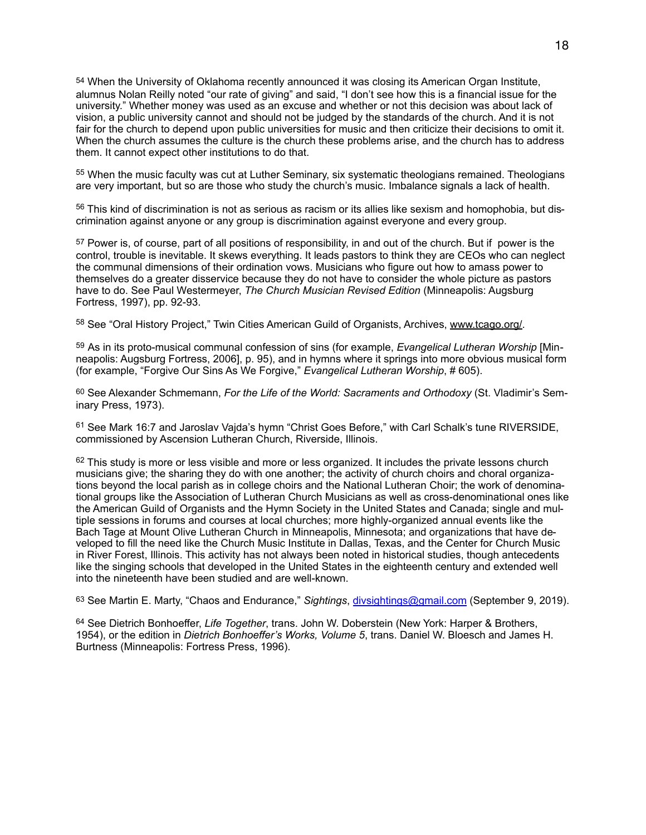<span id="page-17-0"></span>[54](#page-7-2) When the University of Oklahoma recently announced it was closing its American Organ Institute, alumnus Nolan Reilly noted "our rate of giving" and said, "I don't see how this is a financial issue for the university." Whether money was used as an excuse and whether or not this decision was about lack of vision, a public university cannot and should not be judged by the standards of the church. And it is not fair for the church to depend upon public universities for music and then criticize their decisions to omit it. When the church assumes the culture is the church these problems arise, and the church has to address them. It cannot expect other institutions to do that.

<span id="page-17-1"></span>[55](#page-7-3) When the music faculty was cut at Luther Seminary, six systematic theologians remained. Theologians are very important, but so are those who study the church's music. Imbalance signals a lack of health.

<span id="page-17-2"></span> $56$  This kind of discrimination is not as serious as racism or its allies like sexism and homophobia, but discrimination against anyone or any group is discrimination against everyone and every group.

<span id="page-17-3"></span>[57](#page-8-0) Power is, of course, part of all positions of responsibility, in and out of the church. But if power is the control, trouble is inevitable. It skews everything. It leads pastors to think they are CEOs who can neglect the communal dimensions of their ordination vows. Musicians who figure out how to amass power to themselves do a greater disservice because they do not have to consider the whole picture as pastors have to do. See Paul Westermeyer, *The Church Musician Revised Edition* (Minneapolis: Augsburg Fortress, 1997), pp. 92-93.

<span id="page-17-4"></span>58 See "Oral History Project," Twin Cities American Guild of Organists, Archives, [www.tcago.org/](http://www.tcago.org/).

<span id="page-17-5"></span><sup>[59](#page-9-0)</sup> As in its proto-musical communal confession of sins (for example, *Evangelical Lutheran Worship* [Minneapolis: Augsburg Fortress, 2006], p. 95), and in hymns where it springs into more obvious musical form (for example, "Forgive Our Sins As We Forgive," *Evangelical Lutheran Worship*, # 605).

<span id="page-17-6"></span>[60](#page-9-1) See Alexander Schmemann, *For the Life of the World: Sacraments and Orthodoxy* (St. Vladimir's Seminary Press, 1973).

<span id="page-17-7"></span> $61$  See Mark 16:7 and Jaroslav Vaida's hymn "Christ Goes Before," with Carl Schalk's tune RIVERSIDE, commissioned by Ascension Lutheran Church, Riverside, Illinois.

<span id="page-17-8"></span> $62$  This study is more or less visible and more or less organized. It includes the private lessons church musicians give; the sharing they do with one another; the activity of church choirs and choral organizations beyond the local parish as in college choirs and the National Lutheran Choir; the work of denominational groups like the Association of Lutheran Church Musicians as well as cross-denominational ones like the American Guild of Organists and the Hymn Society in the United States and Canada; single and multiple sessions in forums and courses at local churches; more highly-organized annual events like the Bach Tage at Mount Olive Lutheran Church in Minneapolis, Minnesota; and organizations that have developed to fill the need like the Church Music Institute in Dallas, Texas, and the Center for Church Music in River Forest, Illinois. This activity has not always been noted in historical studies, though antecedents like the singing schools that developed in the United States in the eighteenth century and extended well into the nineteenth have been studied and are well-known.

<span id="page-17-9"></span>[63](#page-9-4) See Martin E. Marty, "Chaos and Endurance," *Sightings*, [divsightings@gmail.com](mailto:divsightings@gmail.com) (September 9, 2019).

<span id="page-17-10"></span><sup>[64](#page-9-5)</sup> See Dietrich Bonhoeffer, *Life Together*, trans. John W. Doberstein (New York: Harper & Brothers, 1954), or the edition in *Dietrich Bonhoeffer's Works, Volume 5*, trans. Daniel W. Bloesch and James H. Burtness (Minneapolis: Fortress Press, 1996).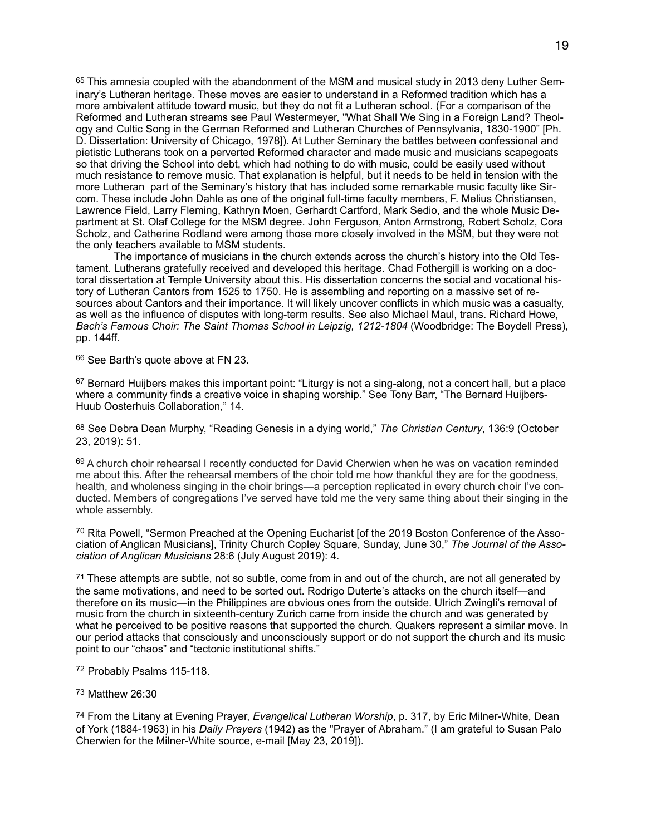<span id="page-18-0"></span>[65](#page-10-0) This amnesia coupled with the abandonment of the MSM and musical study in 2013 deny Luther Seminary's Lutheran heritage. These moves are easier to understand in a Reformed tradition which has a more ambivalent attitude toward music, but they do not fit a Lutheran school. (For a comparison of the Reformed and Lutheran streams see Paul Westermeyer, "What Shall We Sing in a Foreign Land? Theology and Cultic Song in the German Reformed and Lutheran Churches of Pennsylvania, 1830-1900" [Ph. D. Dissertation: University of Chicago, 1978]). At Luther Seminary the battles between confessional and pietistic Lutherans took on a perverted Reformed character and made music and musicians scapegoats so that driving the School into debt, which had nothing to do with music, could be easily used without much resistance to remove music. That explanation is helpful, but it needs to be held in tension with the more Lutheran part of the Seminary's history that has included some remarkable music faculty like Sircom. These include John Dahle as one of the original full-time faculty members, F. Melius Christiansen, Lawrence Field, Larry Fleming, Kathryn Moen, Gerhardt Cartford, Mark Sedio, and the whole Music Department at St. Olaf College for the MSM degree. John Ferguson, Anton Armstrong, Robert Scholz, Cora Scholz, and Catherine Rodland were among those more closely involved in the MSM, but they were not the only teachers available to MSM students.

 The importance of musicians in the church extends across the church's history into the Old Testament. Lutherans gratefully received and developed this heritage. Chad Fothergill is working on a doctoral dissertation at Temple University about this. His dissertation concerns the social and vocational history of Lutheran Cantors from 1525 to 1750. He is assembling and reporting on a massive set of resources about Cantors and their importance. It will likely uncover conflicts in which music was a casualty, as well as the influence of disputes with long-term results. See also Michael Maul, trans. Richard Howe, *Bach's Famous Choir: The Saint Thomas School in Leipzig, 1212-1804* (Woodbridge: The Boydell Press), pp. 144ff.

<span id="page-18-1"></span>[66](#page-10-1) See Barth's quote above at FN 23.

<span id="page-18-2"></span>[67](#page-10-2) Bernard Huijbers makes this important point: "Liturgy is not a sing-along, not a concert hall, but a place where a community finds a creative voice in shaping worship." See Tony Barr, "The Bernard Huijbers-Huub Oosterhuis Collaboration," 14.

<span id="page-18-3"></span>[68](#page-11-0) See Debra Dean Murphy, "Reading Genesis in a dying world," *The Christian Century*, 136:9 (October 23, 2019): 51.

<span id="page-18-4"></span>[69](#page-11-1) A church choir rehearsal I recently conducted for David Cherwien when he was on vacation reminded me about this. After the rehearsal members of the choir told me how thankful they are for the goodness, health, and wholeness singing in the choir brings—a perception replicated in every church choir I've conducted. Members of congregations I've served have told me the very same thing about their singing in the whole assembly.

<span id="page-18-5"></span> $70$  Rita Powell, "Sermon Preached at the Opening Eucharist [of the 2019 Boston Conference of the Association of Anglican Musicians], Trinity Church Copley Square, Sunday, June 30," *The Journal of the Association of Anglican Musicians* 28:6 (July August 2019): 4.

<span id="page-18-6"></span>[71](#page-11-3) These attempts are subtle, not so subtle, come from in and out of the church, are not all generated by the same motivations, and need to be sorted out. Rodrigo Duterte's attacks on the church itself—and therefore on its music—in the Philippines are obvious ones from the outside. Ulrich Zwingli's removal of music from the church in sixteenth-century Zurich came from inside the church and was generated by what he perceived to be positive reasons that supported the church. Quakers represent a similar move. In our period attacks that consciously and unconsciously support or do not support the church and its music point to our "chaos" and "tectonic institutional shifts."

<span id="page-18-7"></span><sup>[72](#page-11-4)</sup> Probably Psalms 115-118.

#### <span id="page-18-8"></span>[73](#page-11-5) Matthew 26:30

<span id="page-18-9"></span>[74](#page-11-6) From the Litany at Evening Prayer, *Evangelical Lutheran Worship*, p. 317, by Eric Milner-White, Dean of York (1884-1963) in his *Daily Prayers* (1942) as the "Prayer of Abraham." (I am grateful to Susan Palo Cherwien for the Milner-White source, e-mail [May 23, 2019]).